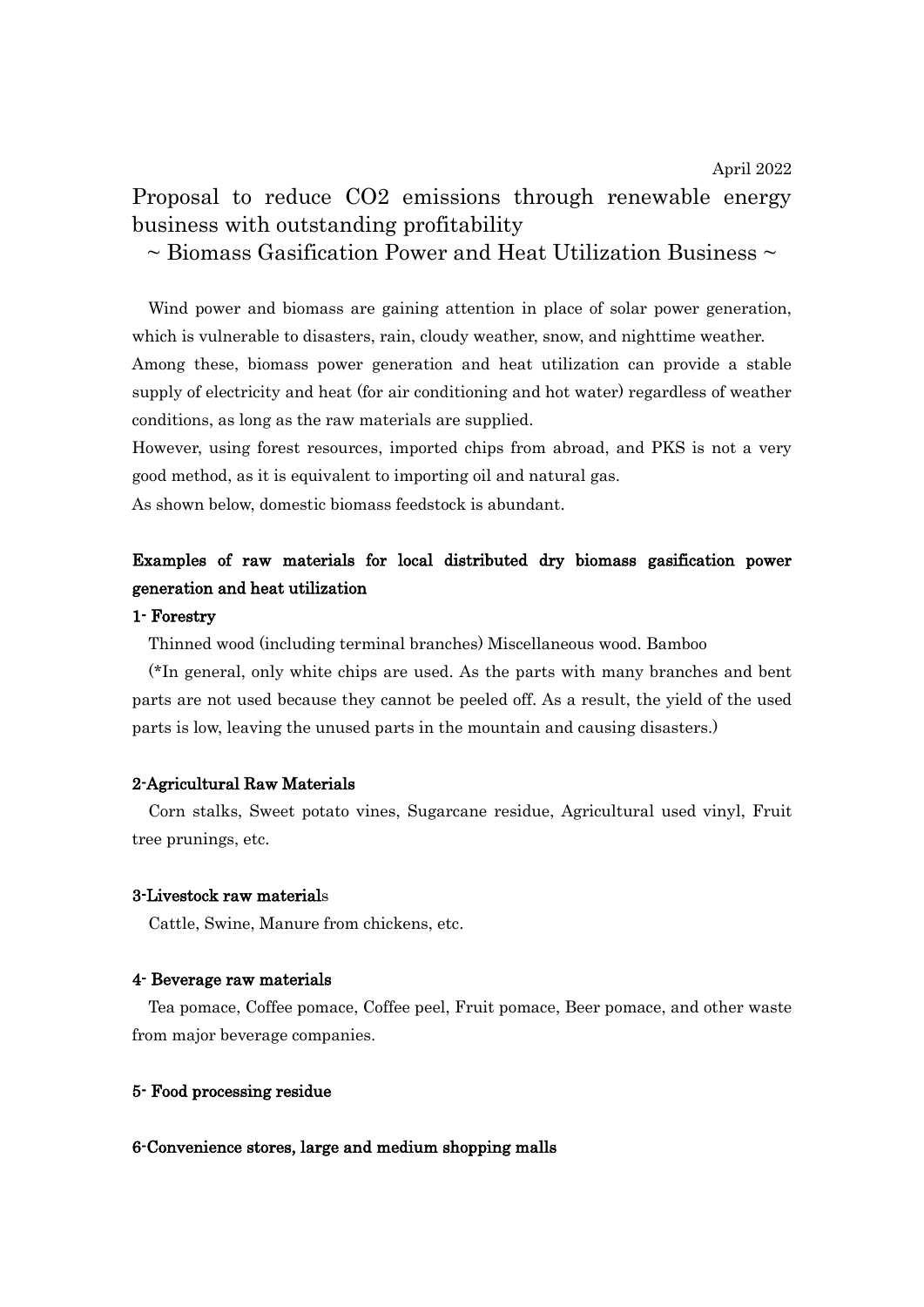## Proposal to reduce CO2 emissions through renewable energy business with outstanding profitability

 $\sim$  Biomass Gasification Power and Heat Utilization Business  $\sim$ 

Wind power and biomass are gaining attention in place of solar power generation, which is vulnerable to disasters, rain, cloudy weather, snow, and nighttime weather. Among these, biomass power generation and heat utilization can provide a stable supply of electricity and heat (for air conditioning and hot water) regardless of weather conditions, as long as the raw materials are supplied.

However, using forest resources, imported chips from abroad, and PKS is not a very good method, as it is equivalent to importing oil and natural gas.

As shown below, domestic biomass feedstock is abundant.

### Examples of raw materials for local distributed dry biomass gasification power generation and heat utilization

#### 1- Forestry

Thinned wood (including terminal branches) Miscellaneous wood. Bamboo

(\*In general, only white chips are used. As the parts with many branches and bent parts are not used because they cannot be peeled off. As a result, the yield of the used parts is low, leaving the unused parts in the mountain and causing disasters.)

#### 2-Agricultural Raw Materials

Corn stalks, Sweet potato vines, Sugarcane residue, Agricultural used vinyl, Fruit tree prunings, etc.

#### 3-Livestock raw materials

Cattle, Swine, Manure from chickens, etc.

#### 4- Beverage raw materials

Tea pomace, Coffee pomace, Coffee peel, Fruit pomace, Beer pomace, and other waste from major beverage companies.

#### 5- Food processing residue

#### 6-Convenience stores, large and medium shopping malls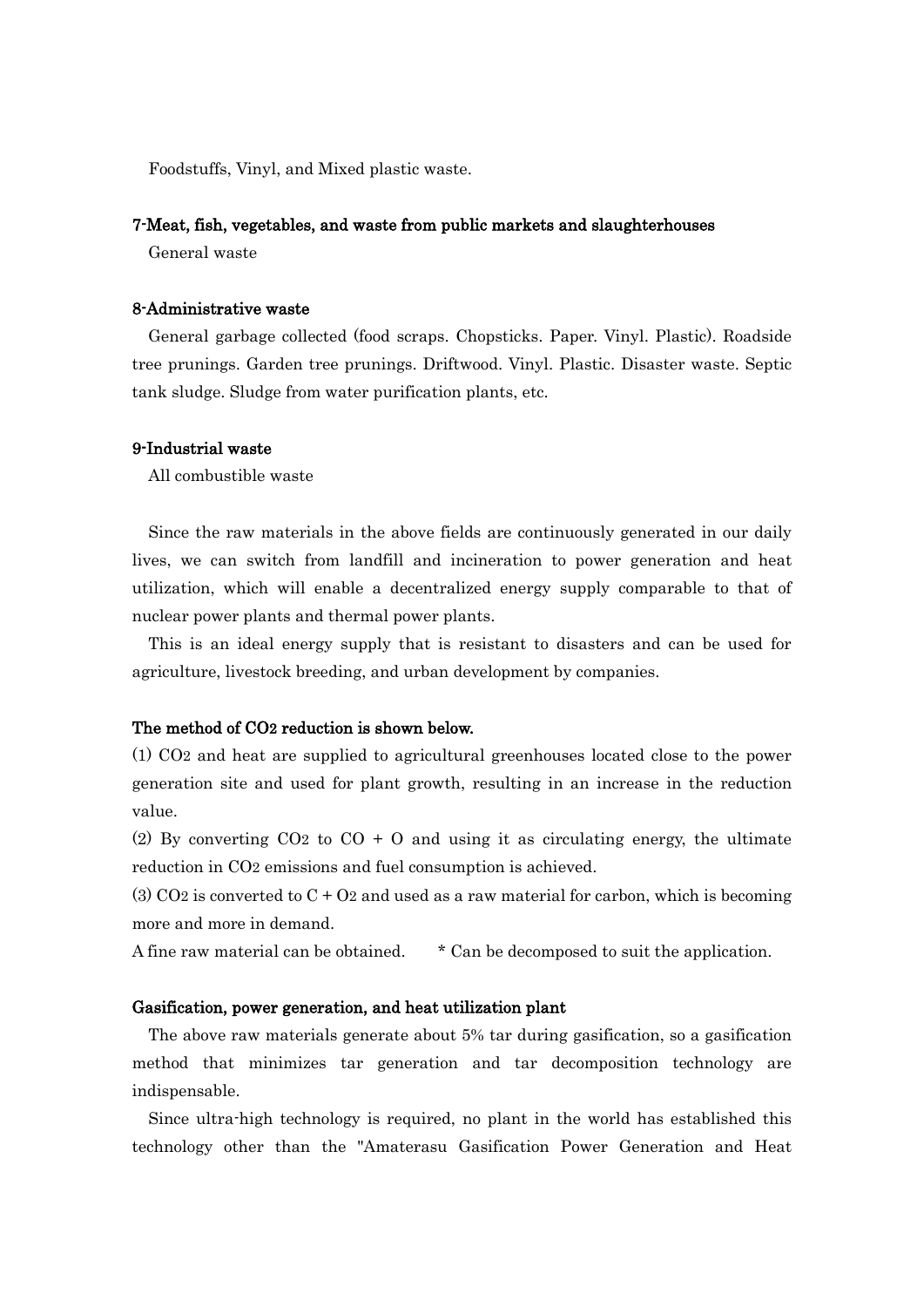Foodstuffs, Vinyl, and Mixed plastic waste.

#### 7-Meat, fish, vegetables, and waste from public markets and slaughterhouses

General waste

#### 8-Administrative waste

General garbage collected (food scraps. Chopsticks. Paper. Vinyl. Plastic). Roadside tree prunings. Garden tree prunings. Driftwood. Vinyl. Plastic. Disaster waste. Septic tank sludge. Sludge from water purification plants, etc.

#### 9-Industrial waste

All combustible waste

Since the raw materials in the above fields are continuously generated in our daily lives, we can switch from landfill and incineration to power generation and heat utilization, which will enable a decentralized energy supply comparable to that of nuclear power plants and thermal power plants.

This is an ideal energy supply that is resistant to disasters and can be used for agriculture, livestock breeding, and urban development by companies.

#### The method of CO2 reduction is shown below.

(1) CO2 and heat are supplied to agricultural greenhouses located close to the power generation site and used for plant growth, resulting in an increase in the reduction value.

(2) By converting  $CO<sub>2</sub>$  to  $CO + O$  and using it as circulating energy, the ultimate reduction in CO2 emissions and fuel consumption is achieved.

(3) CO<sub>2</sub> is converted to  $C + O<sub>2</sub>$  and used as a raw material for carbon, which is becoming more and more in demand.

A fine raw material can be obtained. \* Can be decomposed to suit the application.

#### Gasification, power generation, and heat utilization plant

The above raw materials generate about 5% tar during gasification, so a gasification method that minimizes tar generation and tar decomposition technology are indispensable.

Since ultra-high technology is required, no plant in the world has established this technology other than the "Amaterasu Gasification Power Generation and Heat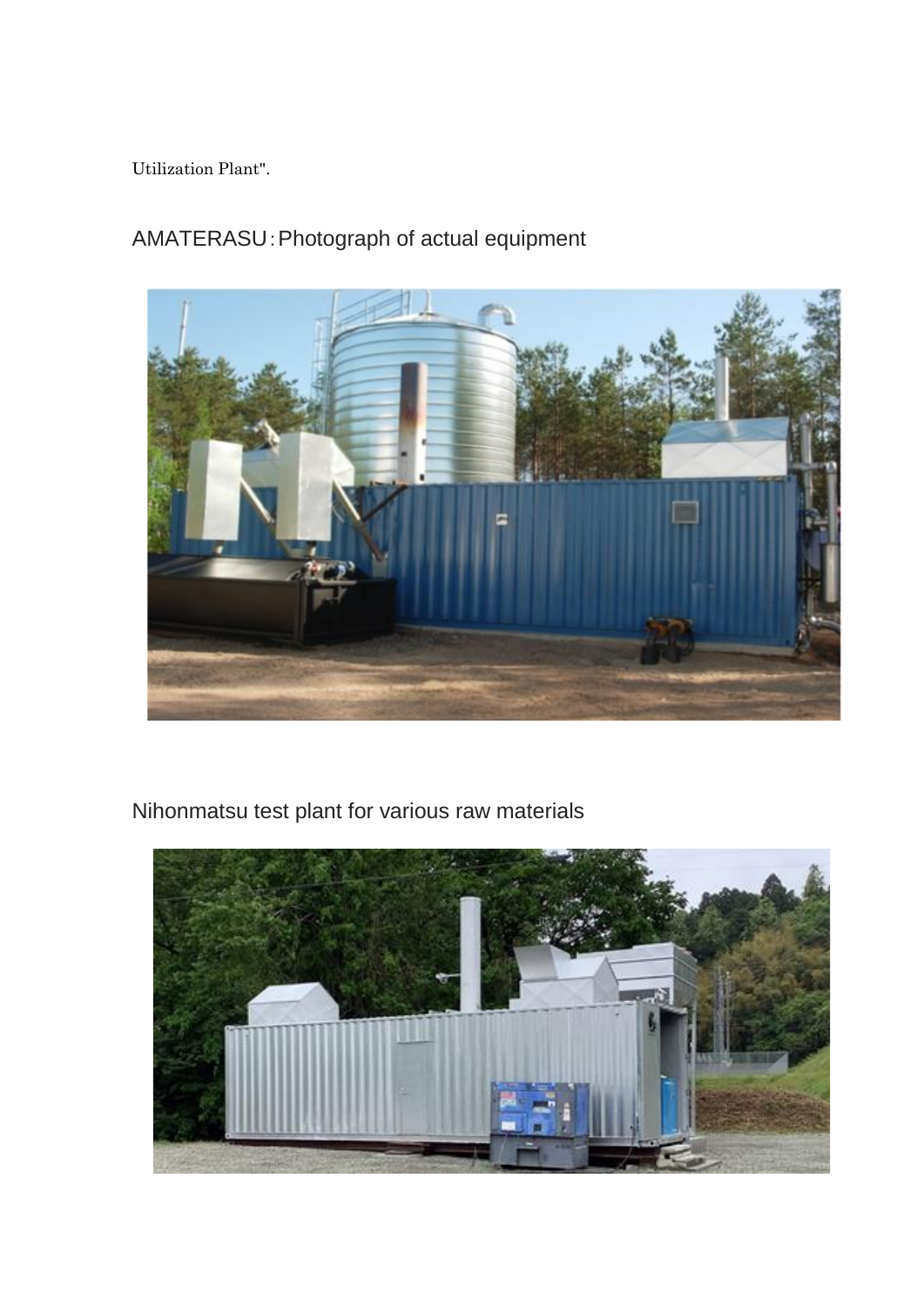Utilization Plant".

# AMATERASU:Photograph of actual equipment



Nihonmatsu test plant for various raw materials

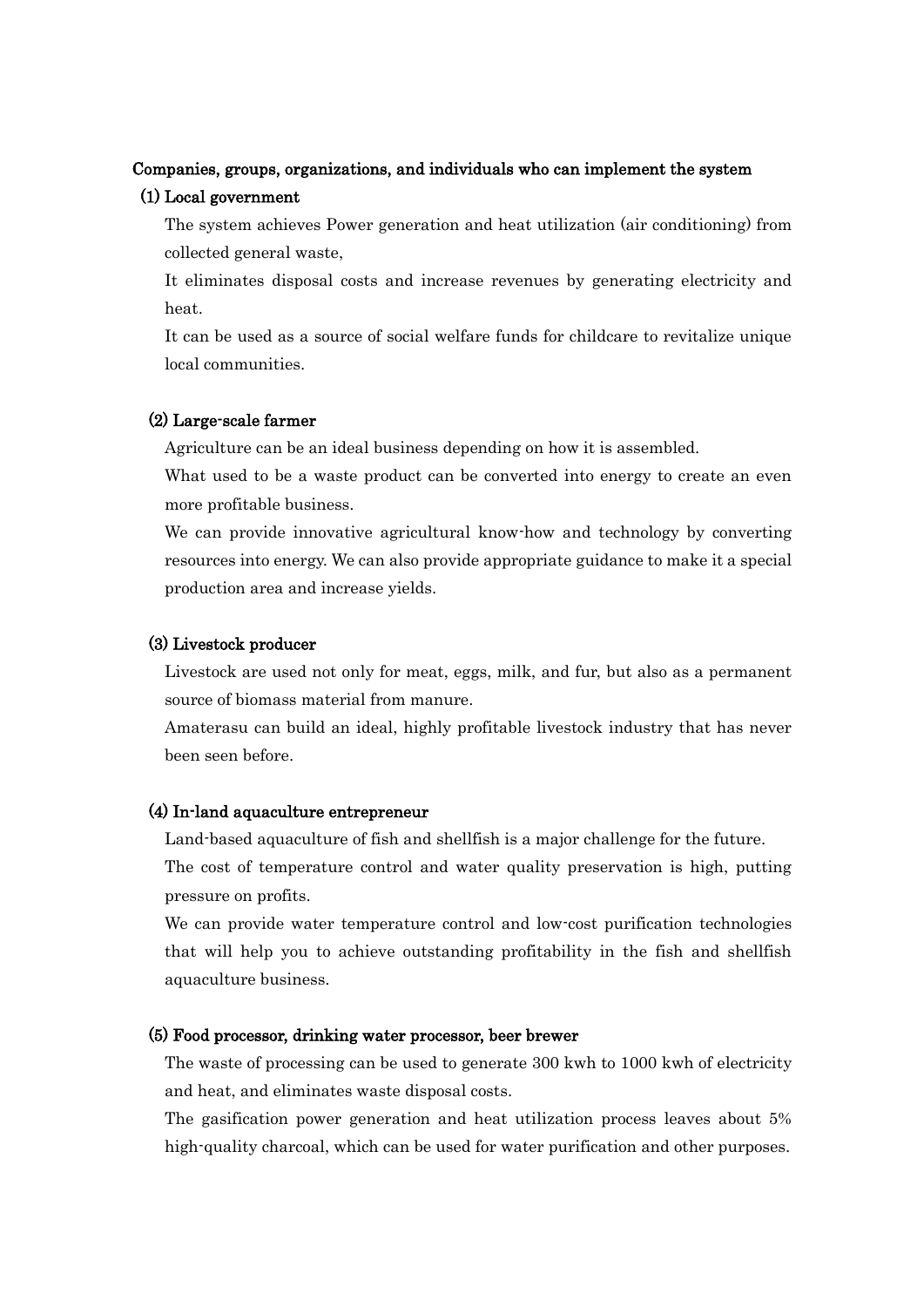#### Companies, groups, organizations, and individuals who can implement the system

#### (1) Local government

 The system achieves Power generation and heat utilization (air conditioning) from collected general waste,

 It eliminates disposal costs and increase revenues by generating electricity and heat.

 It can be used as a source of social welfare funds for childcare to revitalize unique local communities.

#### (2) Large-scale farmer

Agriculture can be an ideal business depending on how it is assembled.

What used to be a waste product can be converted into energy to create an even more profitable business.

We can provide innovative agricultural know-how and technology by converting resources into energy. We can also provide appropriate guidance to make it a special production area and increase yields.

#### (3) Livestock producer

 Livestock are used not only for meat, eggs, milk, and fur, but also as a permanent source of biomass material from manure.

 Amaterasu can build an ideal, highly profitable livestock industry that has never been seen before.

#### (4) In-land aquaculture entrepreneur

Land-based aquaculture of fish and shellfish is a major challenge for the future.

 The cost of temperature control and water quality preservation is high, putting pressure on profits.

We can provide water temperature control and low-cost purification technologies that will help you to achieve outstanding profitability in the fish and shellfish aquaculture business.

#### (5) Food processor, drinking water processor, beer brewer

 The waste of processing can be used to generate 300 kwh to 1000 kwh of electricity and heat, and eliminates waste disposal costs.

 The gasification power generation and heat utilization process leaves about 5% high-quality charcoal, which can be used for water purification and other purposes.